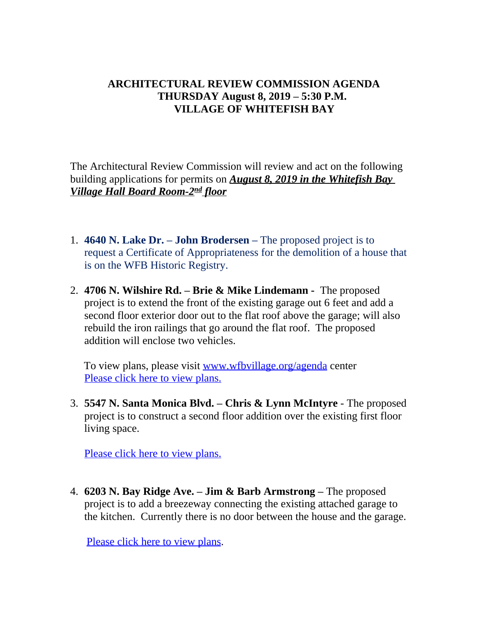## **ARCHITECTURAL REVIEW COMMISSION AGENDA THURSDAY August 8, 2019 – 5:30 P.M. VILLAGE OF WHITEFISH BAY**

The Architectural Review Commission will review and act on the following building applications for permits on *August 8, 2019 in the Whitefish Bay Village Hall Board Room-2nd floor*

- 1. **4640 N. Lake Dr. – John Brodersen –** The proposed project is to request a Certificate of Appropriateness for the demolition of a house that is on the WFB Historic Registry.
- 2. **4706 N. Wilshire Rd. – Brie & Mike Lindemann -** The proposed project is to extend the front of the existing garage out 6 feet and add a second floor exterior door out to the flat roof above the garage; will also rebuild the iron railings that go around the flat roof. The proposed addition will enclose two vehicles.

 To view plans, please visit [www.wfbvillage.org/agenda](http://www.wfbvillage.org/agenda) center [Please click here to view plans.](https://www.wfbvillage.org/DocumentCenter/View/905/4706-N-Wilshire)

3. **[5547 N. Santa Monica Blvd.](https://www.wfbvillage.org/DocumentCenter/View/905/4706-N-Wilshire) – Chris & Lynn McIntyre** [- The proposed](https://www.wfbvillage.org/DocumentCenter/View/905/4706-N-Wilshire) [project is to](https://www.wfbvillage.org/DocumentCenter/View/905/4706-N-Wilshire) [construct a second floor addition over the existing first floor](https://www.wfbvillage.org/DocumentCenter/View/905/4706-N-Wilshire)  [living space.](https://www.wfbvillage.org/DocumentCenter/View/905/4706-N-Wilshire) 

[Please click here to view plans.](https://www.wfbvillage.org/DocumentCenter/View/906/5547-N-Santa-Monica)

4. **6203 N. Bay Ridge Ave. – [Jim & Barb Armstrong](https://www.wfbvillage.org/DocumentCenter/View/906/5547-N-Santa-Monica) [–](https://www.wfbvillage.org/DocumentCenter/View/906/5547-N-Santa-Monica)** [The proposed](https://www.wfbvillage.org/DocumentCenter/View/906/5547-N-Santa-Monica)  [project is to add a breezeway connecting the existing attached garage to](https://www.wfbvillage.org/DocumentCenter/View/906/5547-N-Santa-Monica)  [the kitchen. Currently there is no door between the house and the garage.](https://www.wfbvillage.org/DocumentCenter/View/906/5547-N-Santa-Monica)

Pleaseclick here to view plans.